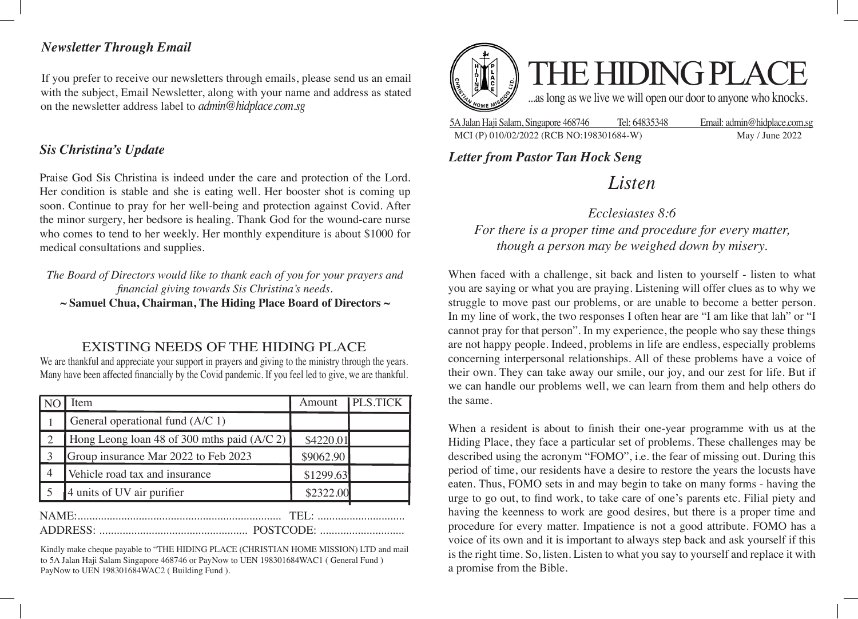## *Newsletter Through Email*

If you prefer to receive our newsletters through emails, please send us an email with the subject, Email Newsletter, along with your name and address as stated on the newsletter address label to *admin@hidplace.com.sg*

## *Sis Christina's Update*

Praise God Sis Christina is indeed under the care and protection of the Lord. Her condition is stable and she is eating well. Her booster shot is coming up soon. Continue to pray for her well-being and protection against Covid. After the minor surgery, her bedsore is healing. Thank God for the wound-care nurse who comes to tend to her weekly. Her monthly expenditure is about \$1000 for medical consultations and supplies.

*The Board of Directors would like to thank each of you for your prayers and financial giving towards Sis Christina's needs.* **~ Samuel Chua, Chairman, The Hiding Place Board of Directors ~**

EXISTING NEEDS OF THE HIDING PLACE

We are thankful and appreciate your support in prayers and giving to the ministry through the years. Many have been affected financially by the Covid pandemic. If you feel led to give, we are thankful.

|                             | Item                                          | Amount    | <b>PLS.TICK</b> |
|-----------------------------|-----------------------------------------------|-----------|-----------------|
|                             | General operational fund (A/C 1)              |           |                 |
|                             | Hong Leong loan 48 of 300 mths paid $(A/C 2)$ | \$4220.01 |                 |
|                             | Group insurance Mar 2022 to Feb 2023          | \$9062.90 |                 |
| $\overline{4}$              | Vehicle road tax and insurance                | \$1299.63 |                 |
|                             | 4 units of UV air purifier                    | \$2322.00 |                 |
| NAME:<br>TFI ·<br>POSTCODE: |                                               |           |                 |

Kindly make cheque payable to "THE HIDING PLACE (CHRISTIAN HOME MISSION) LTD and mail to 5A Jalan Haji Salam Singapore 468746 or PayNow to UEN 198301684WAC1 ( General Fund ) PayNow to UEN 198301684WAC2 ( Building Fund ).



5A Jalan Haji Salam, Singapore 468746 Tel: 64835348 Email: admin@hidplace.com.sg MCI (P) 010/02/2022 (RCB NO:198301684-W) May / June 2022

*Letter from Pastor Tan Hock Seng*

# *Listen*

*Ecclesiastes 8:6 For there is a proper time and procedure for every matter, though a person may be weighed down by misery.*

When faced with a challenge, sit back and listen to yourself - listen to what you are saying or what you are praying. Listening will offer clues as to why we struggle to move past our problems, or are unable to become a better person. In my line of work, the two responses I often hear are "I am like that lah" or "I cannot pray for that person". In my experience, the people who say these things are not happy people. Indeed, problems in life are endless, especially problems concerning interpersonal relationships. All of these problems have a voice of their own. They can take away our smile, our joy, and our zest for life. But if we can handle our problems well, we can learn from them and help others do the same.

When a resident is about to finish their one-year programme with us at the Hiding Place, they face a particular set of problems. These challenges may be described using the acronym "FOMO", i.e. the fear of missing out. During this period of time, our residents have a desire to restore the years the locusts have eaten. Thus, FOMO sets in and may begin to take on many forms - having the urge to go out, to find work, to take care of one's parents etc. Filial piety and having the keenness to work are good desires, but there is a proper time and procedure for every matter. Impatience is not a good attribute. FOMO has a voice of its own and it is important to always step back and ask yourself if this is the right time. So, listen. Listen to what you say to yourself and replace it with a promise from the Bible.